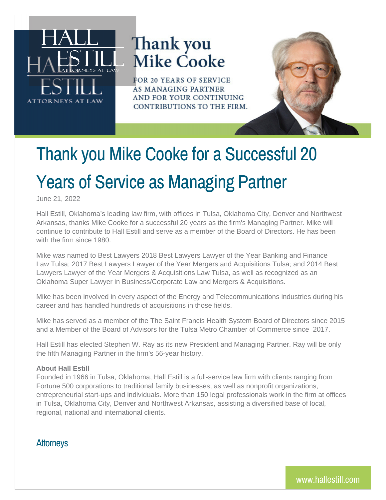

## Thank you **Mike Cooke**

FOR 20 YEARS OF SERVICE **AS MANAGING PARTNER** AND FOR YOUR CONTINUING CONTRIBUTIONS TO THE FIRM.



June 21, 2022

Hall Estill, Oklahoma's leading law firm, with offices in Tulsa, Oklahoma City, Denver and Northwest Arkansas, thanks Mike Cooke for a successful 20 years as the firm's Managing Partner. Mike will continue to contribute to Hall Estill and serve as a member of the Board of Directors. He has been with the firm since 1980.

Mike was named to Best Lawyers 2018 Best Lawyers Lawyer of the Year Banking and Finance Law Tulsa; 2017 Best Lawyers Lawyer of the Year Mergers and Acquisitions Tulsa; and 2014 Best Lawyers Lawyer of the Year Mergers & Acquisitions Law Tulsa, as well as recognized as an Oklahoma Super Lawyer in Business/Corporate Law and Mergers & Acquisitions.

Mike has been involved in every aspect of the Energy and Telecommunications industries during his career and has handled hundreds of acquisitions in those fields.

Mike has served as a member of the The Saint Francis Health System Board of Directors since 2015 and a Member of the Board of Advisors for the Tulsa Metro Chamber of Commerce since 2017.

Hall Estill has elected Stephen W. Ray as its new President and Managing Partner. Ray will be only the fifth Managing Partner in the firm's 56-year history.

## **About Hall Estill**

Founded in 1966 in Tulsa, Oklahoma, Hall Estill is a full-service law firm with clients ranging from Fortune 500 corporations to traditional family businesses, as well as nonprofit organizations, entrepreneurial start-ups and individuals. More than 150 legal professionals work in the firm at offices in Tulsa, Oklahoma City, Denver and Northwest Arkansas, assisting a diversified base of local, regional, national and international clients.

**Attorneys**